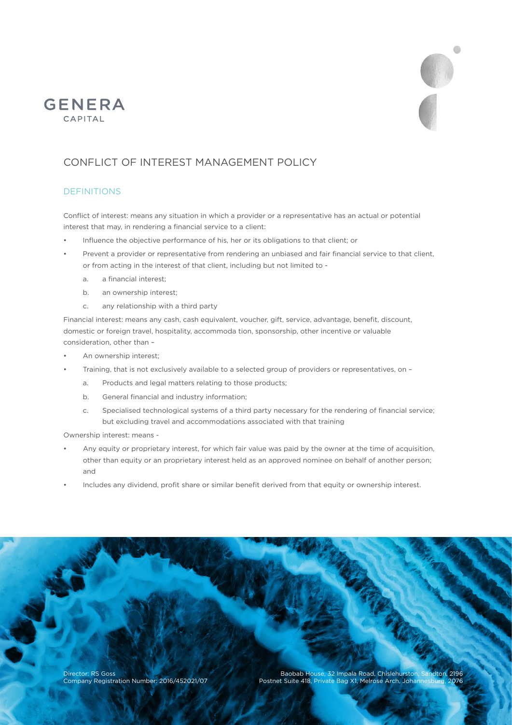

# CONFLICT OF INTEREST MANAGEMENT POLICY

# DEFINITIONS

**GENERA** CAPITAL

> Conflict of interest: means any situation in which a provider or a representative has an actual or potential interest that may, in rendering a financial service to a client:

- Influence the objective performance of his, her or its obligations to that client; or
- Prevent a provider or representative from rendering an unbiased and fair financial service to that client, or from acting in the interest of that client, including but not limited to
	- a. a financial interest;
	- b. an ownership interest;
	- c. any relationship with a third party

Financial interest: means any cash, cash equivalent, voucher, gift, service, advantage, benefit, discount, domestic or foreign travel, hospitality, accommoda tion, sponsorship, other incentive or valuable consideration, other than –

- An ownership interest:
- Training, that is not exclusively available to a selected group of providers or representatives, on
	- a. Products and legal matters relating to those products;
	- b. General financial and industry information;
	- c. Specialised technological systems of a third party necessary for the rendering of financial service; but excluding travel and accommodations associated with that training

Ownership interest: means -

- Any equity or proprietary interest, for which fair value was paid by the owner at the time of acquisition, other than equity or an proprietary interest held as an approved nominee on behalf of another person; and
- Includes any dividend, profit share or similar benefit derived from that equity or ownership interest.

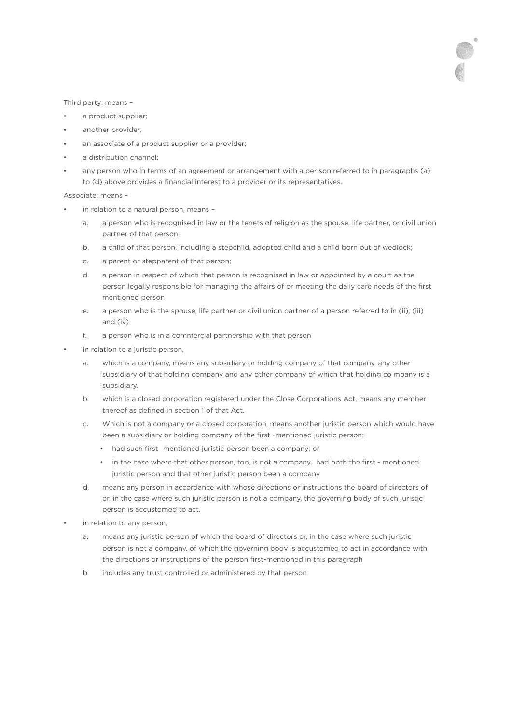Third party: means –

- a product supplier;
- another provider;
- an associate of a product supplier or a provider;
- a distribution channel;
- any person who in terms of an agreement or arrangement with a per son referred to in paragraphs (a) to (d) above provides a financial interest to a provider or its representatives.

Associate: means –

- in relation to a natural person, means
	- a. a person who is recognised in law or the tenets of religion as the spouse, life partner, or civil union partner of that person;
	- b. a child of that person, including a stepchild, adopted child and a child born out of wedlock;
	- c. a parent or stepparent of that person;
	- d. a person in respect of which that person is recognised in law or appointed by a court as the person legally responsible for managing the affairs of or meeting the daily care needs of the first mentioned person
	- e. a person who is the spouse, life partner or civil union partner of a person referred to in (ii), (iii) and (iv)
	- f. a person who is in a commercial partnership with that person
- in relation to a juristic person,
	- a. which is a company, means any subsidiary or holding company of that company, any other subsidiary of that holding company and any other company of which that holding co mpany is a subsidiary.
	- b. which is a closed corporation registered under the Close Corporations Act, means any member thereof as defined in section 1 of that Act.
	- c. Which is not a company or a closed corporation, means another juristic person which would have been a subsidiary or holding company of the first -mentioned juristic person:
		- had such first -mentioned juristic person been a company; or
		- in the case where that other person, too, is not a company, had both the first mentioned juristic person and that other juristic person been a company
	- d. means any person in accordance with whose directions or instructions the board of directors of or, in the case where such juristic person is not a company, the governing body of such juristic person is accustomed to act.
- in relation to any person,
	- a. means any juristic person of which the board of directors or, in the case where such juristic person is not a company, of which the governing body is accustomed to act in accordance with the directions or instructions of the person first-mentioned in this paragraph
	- b. includes any trust controlled or administered by that person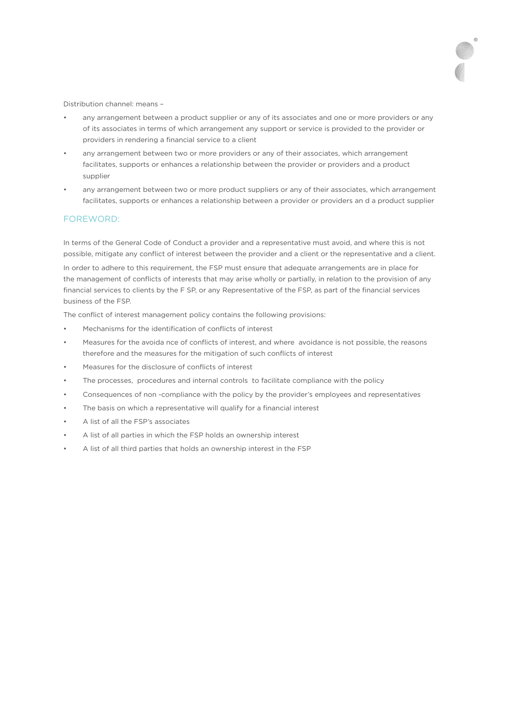Distribution channel: means –

- any arrangement between a product supplier or any of its associates and one or more providers or any of its associates in terms of which arrangement any support or service is provided to the provider or providers in rendering a financial service to a client
- any arrangement between two or more providers or any of their associates, which arrangement facilitates, supports or enhances a relationship between the provider or providers and a product supplier
- any arrangement between two or more product suppliers or any of their associates, which arrangement facilitates, supports or enhances a relationship between a provider or providers an d a product supplier

### FOREWORD:

In terms of the General Code of Conduct a provider and a representative must avoid, and where this is not possible, mitigate any conflict of interest between the provider and a client or the representative and a client.

In order to adhere to this requirement, the FSP must ensure that adequate arrangements are in place for the management of conflicts of interests that may arise wholly or partially, in relation to the provision of any financial services to clients by the F SP, or any Representative of the FSP, as part of the financial services business of the FSP.

The conflict of interest management policy contains the following provisions:

- Mechanisms for the identification of conflicts of interest
- Measures for the avoida nce of conflicts of interest, and where avoidance is not possible, the reasons therefore and the measures for the mitigation of such conflicts of interest
- Measures for the disclosure of conflicts of interest
- The processes, procedures and internal controls to facilitate compliance with the policy
- Consequences of non -compliance with the policy by the provider's employees and representatives
- The basis on which a representative will qualify for a financial interest
- A list of all the FSP's associates
- A list of all parties in which the FSP holds an ownership interest
- A list of all third parties that holds an ownership interest in the FSP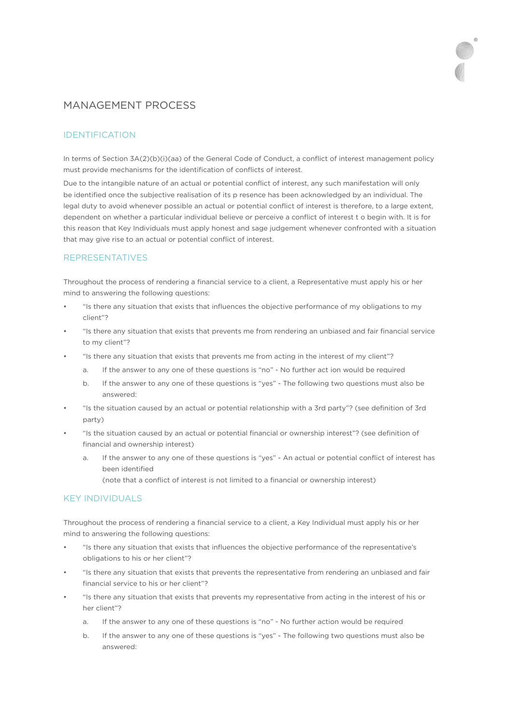# MANAGEMENT PROCESS

# IDENTIFICATION

In terms of Section 3A(2)(b)(i)(aa) of the General Code of Conduct, a conflict of interest management policy must provide mechanisms for the identification of conflicts of interest.

Due to the intangible nature of an actual or potential conflict of interest, any such manifestation will only be identified once the subjective realisation of its p resence has been acknowledged by an individual. The legal duty to avoid whenever possible an actual or potential conflict of interest is therefore, to a large extent, dependent on whether a particular individual believe or perceive a conflict of interest t o begin with. It is for this reason that Key Individuals must apply honest and sage judgement whenever confronted with a situation that may give rise to an actual or potential conflict of interest.

### REPRESENTATIVES

Throughout the process of rendering a financial service to a client, a Representative must apply his or her mind to answering the following questions:

- "Is there any situation that exists that influences the objective performance of my obligations to my client"?
- "Is there any situation that exists that prevents me from rendering an unbiased and fair financial service to my client"?
- "Is there any situation that exists that prevents me from acting in the interest of my client"?
	- a. If the answer to any one of these questions is "no" No further act ion would be required
	- b. If the answer to any one of these questions is "yes" The following two questions must also be answered:
- "Is the situation caused by an actual or potential relationship with a 3rd party"? (see definition of 3rd party)
- "Is the situation caused by an actual or potential financial or ownership interest"? (see definition of financial and ownership interest)
	- a. If the answer to any one of these questions is "yes" An actual or potential conflict of interest has been identified

(note that a conflict of interest is not limited to a financial or ownership interest)

### KEY INDIVIDUALS

Throughout the process of rendering a financial service to a client, a Key Individual must apply his or her mind to answering the following questions:

- "Is there any situation that exists that influences the objective performance of the representative's obligations to his or her client"?
- "Is there any situation that exists that prevents the representative from rendering an unbiased and fair financial service to his or her client"?
- "Is there any situation that exists that prevents my representative from acting in the interest of his or her client"?
	- a. If the answer to any one of these questions is "no" No further action would be required
	- b. If the answer to any one of these questions is "yes" The following two questions must also be answered: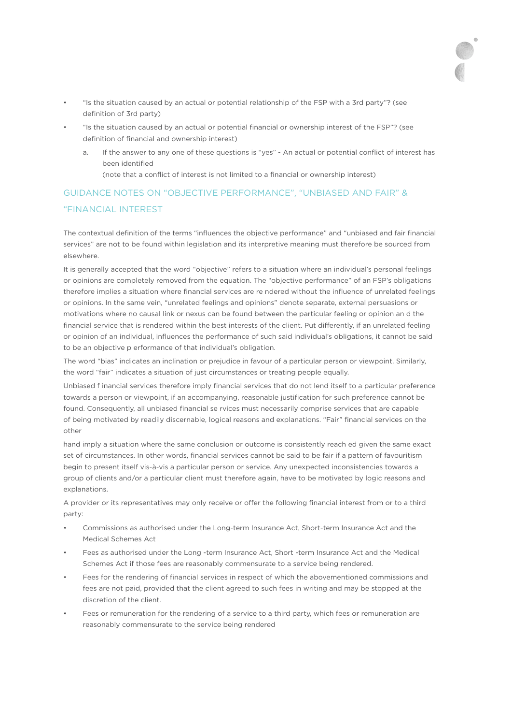- "Is the situation caused by an actual or potential relationship of the FSP with a 3rd party"? (see definition of 3rd party)
- "Is the situation caused by an actual or potential financial or ownership interest of the FSP"? (see definition of financial and ownership interest)
	- a. If the answer to any one of these questions is "yes" An actual or potential conflict of interest has been identified (note that a conflict of interest is not limited to a financial or ownership interest)

# GUIDANCE NOTES ON "OBJECTIVE PERFORMANCE", "UNBIASED AND FAIR" & "FINANCIAL INTEREST

The contextual definition of the terms "influences the objective performance" and "unbiased and fair financial services" are not to be found within legislation and its interpretive meaning must therefore be sourced from elsewhere.

It is generally accepted that the word "objective" refers to a situation where an individual's personal feelings or opinions are completely removed from the equation. The "objective performance" of an FSP's obligations therefore implies a situation where financial services are re ndered without the influence of unrelated feelings or opinions. In the same vein, "unrelated feelings and opinions" denote separate, external persuasions or motivations where no causal link or nexus can be found between the particular feeling or opinion an d the financial service that is rendered within the best interests of the client. Put differently, if an unrelated feeling or opinion of an individual, influences the performance of such said individual's obligations, it cannot be said to be an objective p erformance of that individual's obligation.

The word "bias" indicates an inclination or prejudice in favour of a particular person or viewpoint. Similarly, the word "fair" indicates a situation of just circumstances or treating people equally.

Unbiased f inancial services therefore imply financial services that do not lend itself to a particular preference towards a person or viewpoint, if an accompanying, reasonable justification for such preference cannot be found. Consequently, all unbiased financial se rvices must necessarily comprise services that are capable of being motivated by readily discernable, logical reasons and explanations. "Fair" financial services on the other

hand imply a situation where the same conclusion or outcome is consistently reach ed given the same exact set of circumstances. In other words, financial services cannot be said to be fair if a pattern of favouritism begin to present itself vis-à-vis a particular person or service. Any unexpected inconsistencies towards a group of clients and/or a particular client must therefore again, have to be motivated by logic reasons and explanations.

A provider or its representatives may only receive or offer the following financial interest from or to a third party:

- Commissions as authorised under the Long-term Insurance Act, Short-term Insurance Act and the Medical Schemes Act
- Fees as authorised under the Long -term Insurance Act, Short -term Insurance Act and the Medical Schemes Act if those fees are reasonably commensurate to a service being rendered.
- Fees for the rendering of financial services in respect of which the abovementioned commissions and fees are not paid, provided that the client agreed to such fees in writing and may be stopped at the discretion of the client.
- Fees or remuneration for the rendering of a service to a third party, which fees or remuneration are reasonably commensurate to the service being rendered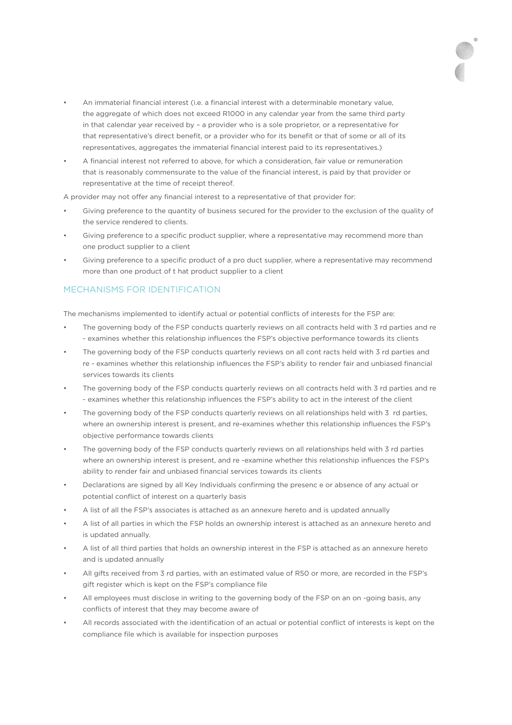- An immaterial financial interest (i.e. a financial interest with a determinable monetary value, the aggregate of which does not exceed R1000 in any calendar year from the same third party in that calendar year received by – a provider who is a sole proprietor, or a representative for that representative's direct benefit, or a provider who for its benefit or that of some or all of its representatives, aggregates the immaterial financial interest paid to its representatives.)
- A financial interest not referred to above, for which a consideration, fair value or remuneration that is reasonably commensurate to the value of the financial interest, is paid by that provider or representative at the time of receipt thereof.

A provider may not offer any financial interest to a representative of that provider for:

- Giving preference to the quantity of business secured for the provider to the exclusion of the quality of the service rendered to clients.
- Giving preference to a specific product supplier, where a representative may recommend more than one product supplier to a client
- Giving preference to a specific product of a pro duct supplier, where a representative may recommend more than one product of t hat product supplier to a client

# MECHANISMS FOR IDENTIFICATION

The mechanisms implemented to identify actual or potential conflicts of interests for the FSP are:

- The governing body of the FSP conducts quarterly reviews on all contracts held with 3 rd parties and re - examines whether this relationship influences the FSP's objective performance towards its clients
- The governing body of the FSP conducts quarterly reviews on all cont racts held with 3 rd parties and re - examines whether this relationship influences the FSP's ability to render fair and unbiased financial services towards its clients
- The governing body of the FSP conducts quarterly reviews on all contracts held with 3 rd parties and re - examines whether this relationship influences the FSP's ability to act in the interest of the client
- The governing body of the FSP conducts quarterly reviews on all relationships held with 3 rd parties, where an ownership interest is present, and re-examines whether this relationship influences the FSP's objective performance towards clients
- The governing body of the FSP conducts quarterly reviews on all relationships held with 3 rd parties where an ownership interest is present, and re -examine whether this relationship influences the FSP's ability to render fair and unbiased financial services towards its clients
- Declarations are signed by all Key Individuals confirming the presenc e or absence of any actual or potential conflict of interest on a quarterly basis
- A list of all the FSP's associates is attached as an annexure hereto and is updated annually
- A list of all parties in which the FSP holds an ownership interest is attached as an annexure hereto and is updated annually.
- A list of all third parties that holds an ownership interest in the FSP is attached as an annexure hereto and is updated annually
- All gifts received from 3 rd parties, with an estimated value of R50 or more, are recorded in the FSP's gift register which is kept on the FSP's compliance file
- All employees must disclose in writing to the governing body of the FSP on an on -going basis, any conflicts of interest that they may become aware of
- All records associated with the identification of an actual or potential conflict of interests is kept on the compliance file which is available for inspection purposes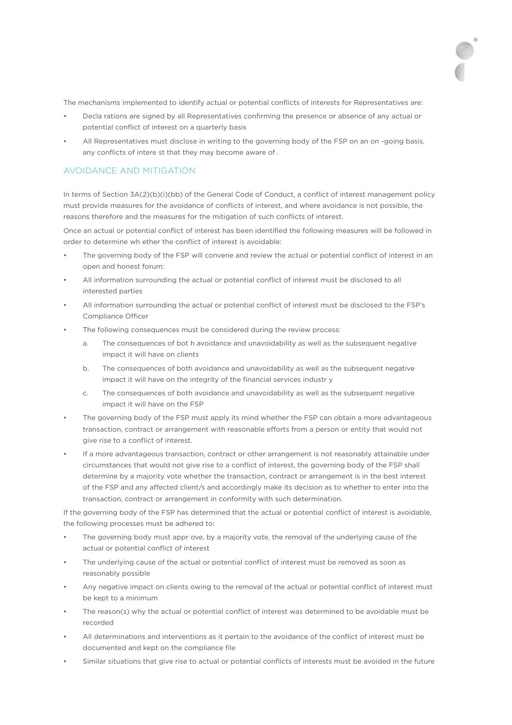The mechanisms implemented to identify actual or potential conflicts of interests for Representatives are:

- Decla rations are signed by all Representatives confirming the presence or absence of any actual or potential conflict of interest on a quarterly basis
- All Representatives must disclose in writing to the governing body of the FSP on an on -going basis, any conflicts of intere st that they may become aware of .

### AVOIDANCE AND MITIGATION

In terms of Section 3A(2)(b)(i)(bb) of the General Code of Conduct, a conflict of interest management policy must provide measures for the avoidance of conflicts of interest, and where avoidance is not possible, the reasons therefore and the measures for the mitigation of such conflicts of interest.

Once an actual or potential conflict of interest has been identified the following measures will be followed in order to determine wh ether the conflict of interest is avoidable:

- The governing body of the FSP will convene and review the actual or potential conflict of interest in an open and honest forum:
- All information surrounding the actual or potential conflict of interest must be disclosed to all interested parties
- All information surrounding the actual or potential conflict of interest must be disclosed to the FSP's Compliance Officer
- The following consequences must be considered during the review process:
	- a. The consequences of bot h avoidance and unavoidability as well as the subsequent negative impact it will have on clients
	- b. The consequences of both avoidance and unavoidability as well as the subsequent negative impact it will have on the integrity of the financial services industr y
	- c. The consequences of both avoidance and unavoidability as well as the subsequent negative impact it will have on the FSP
- The governing body of the FSP must apply its mind whether the FSP can obtain a more advantageous transaction, contract or arrangement with reasonable efforts from a person or entity that would not give rise to a conflict of interest.
- If a more advantageous transaction, contract or other arrangement is not reasonably attainable under circumstances that would not give rise to a conflict of interest, the governing body of the FSP shall determine by a majority vote whether the transaction, contract or arrangement is in the best interest of the FSP and any affected client/s and accordingly make its decision as to whether to enter into the transaction, contract or arrangement in conformity with such determination.

If the governing body of the FSP has determined that the actual or potential conflict of interest is avoidable, the following processes must be adhered to:

- The governing body must appr ove, by a majority vote, the removal of the underlying cause of the actual or potential conflict of interest
- The underlying cause of the actual or potential conflict of interest must be removed as soon as reasonably possible
- Any negative impact on clients owing to the removal of the actual or potential conflict of interest must be kept to a minimum
- The reason(s) why the actual or potential conflict of interest was determined to be avoidable must be recorded
- All determinations and interventions as it pertain to the avoidance of the conflict of interest must be documented and kept on the compliance file
- Similar situations that give rise to actual or potential conflicts of interests must be avoided in the future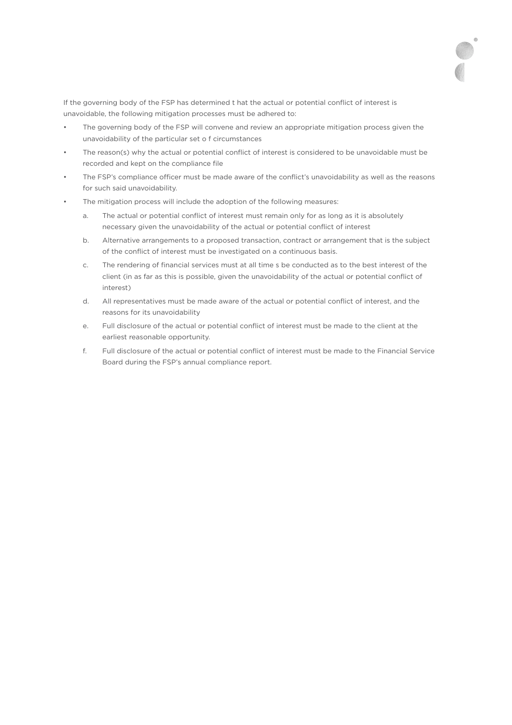If the governing body of the FSP has determined t hat the actual or potential conflict of interest is unavoidable, the following mitigation processes must be adhered to:

- The governing body of the FSP will convene and review an appropriate mitigation process given the unavoidability of the particular set o f circumstances
- The reason(s) why the actual or potential conflict of interest is considered to be unavoidable must be recorded and kept on the compliance file
- The FSP's compliance officer must be made aware of the conflict's unavoidability as well as the reasons for such said unavoidability.
- The mitigation process will include the adoption of the following measures:
	- a. The actual or potential conflict of interest must remain only for as long as it is absolutely necessary given the unavoidability of the actual or potential conflict of interest
	- b. Alternative arrangements to a proposed transaction, contract or arrangement that is the subject of the conflict of interest must be investigated on a continuous basis.
	- c. The rendering of financial services must at all time s be conducted as to the best interest of the client (in as far as this is possible, given the unavoidability of the actual or potential conflict of interest)
	- d. All representatives must be made aware of the actual or potential conflict of interest, and the reasons for its unavoidability
	- e. Full disclosure of the actual or potential conflict of interest must be made to the client at the earliest reasonable opportunity.
	- f. Full disclosure of the actual or potential conflict of interest must be made to the Financial Service Board during the FSP's annual compliance report.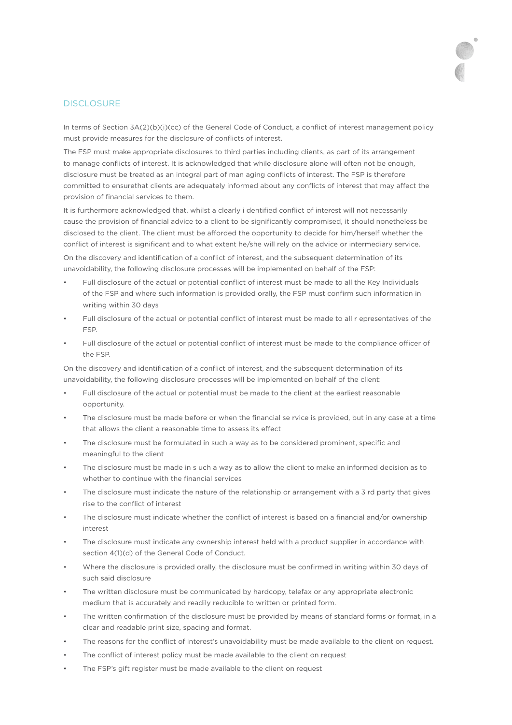#### **DISCLOSURE**

In terms of Section 3A(2)(b)(i)(cc) of the General Code of Conduct, a conflict of interest management policy must provide measures for the disclosure of conflicts of interest.

The FSP must make appropriate disclosures to third parties including clients, as part of its arrangement to manage conflicts of interest. It is acknowledged that while disclosure alone will often not be enough, disclosure must be treated as an integral part of man aging conflicts of interest. The FSP is therefore committed to ensurethat clients are adequately informed about any conflicts of interest that may affect the provision of financial services to them.

It is furthermore acknowledged that, whilst a clearly i dentified conflict of interest will not necessarily cause the provision of financial advice to a client to be significantly compromised, it should nonetheless be disclosed to the client. The client must be afforded the opportunity to decide for him/herself whether the conflict of interest is significant and to what extent he/she will rely on the advice or intermediary service.

On the discovery and identification of a conflict of interest, and the subsequent determination of its unavoidability, the following disclosure processes will be implemented on behalf of the FSP:

- Full disclosure of the actual or potential conflict of interest must be made to all the Key Individuals of the FSP and where such information is provided orally, the FSP must confirm such information in writing within 30 days
- Full disclosure of the actual or potential conflict of interest must be made to all r epresentatives of the FSP.
- Full disclosure of the actual or potential conflict of interest must be made to the compliance officer of the FSP.

On the discovery and identification of a conflict of interest, and the subsequent determination of its unavoidability, the following disclosure processes will be implemented on behalf of the client:

- Full disclosure of the actual or potential must be made to the client at the earliest reasonable opportunity.
- The disclosure must be made before or when the financial se rvice is provided, but in any case at a time that allows the client a reasonable time to assess its effect
- The disclosure must be formulated in such a way as to be considered prominent, specific and meaningful to the client
- The disclosure must be made in s uch a way as to allow the client to make an informed decision as to whether to continue with the financial services
- The disclosure must indicate the nature of the relationship or arrangement with a 3 rd party that gives rise to the conflict of interest
- The disclosure must indicate whether the conflict of interest is based on a financial and/or ownership interest
- The disclosure must indicate any ownership interest held with a product supplier in accordance with section 4(1)(d) of the General Code of Conduct.
- Where the disclosure is provided orally, the disclosure must be confirmed in writing within 30 days of such said disclosure
- The written disclosure must be communicated by hardcopy, telefax or any appropriate electronic medium that is accurately and readily reducible to written or printed form.
- The written confirmation of the disclosure must be provided by means of standard forms or format, in a clear and readable print size, spacing and format.
- The reasons for the conflict of interest's unavoidability must be made available to the client on request.
- The conflict of interest policy must be made available to the client on request
- The FSP's gift register must be made available to the client on request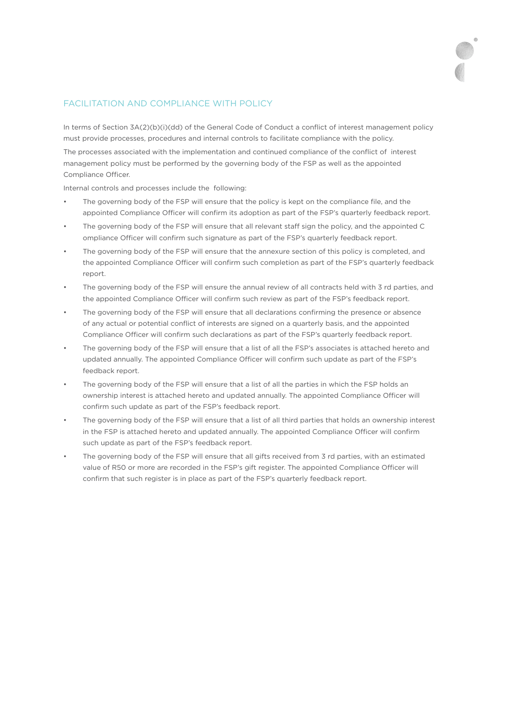# FACILITATION AND COMPLIANCE WITH POLICY

In terms of Section 3A(2)(b)(i)(dd) of the General Code of Conduct a conflict of interest management policy must provide processes, procedures and internal controls to facilitate compliance with the policy. The processes associated with the implementation and continued compliance of the conflict of interest management policy must be performed by the governing body of the FSP as well as the appointed Compliance Officer.

Internal controls and processes include the following:

- The governing body of the FSP will ensure that the policy is kept on the compliance file, and the appointed Compliance Officer will confirm its adoption as part of the FSP's quarterly feedback report.
- The governing body of the FSP will ensure that all relevant staff sign the policy, and the appointed C ompliance Officer will confirm such signature as part of the FSP's quarterly feedback report.
- The governing body of the FSP will ensure that the annexure section of this policy is completed, and the appointed Compliance Officer will confirm such completion as part of the FSP's quarterly feedback report.
- The governing body of the FSP will ensure the annual review of all contracts held with 3 rd parties, and the appointed Compliance Officer will confirm such review as part of the FSP's feedback report.
- The governing body of the FSP will ensure that all declarations confirming the presence or absence of any actual or potential conflict of interests are signed on a quarterly basis, and the appointed Compliance Officer will confirm such declarations as part of the FSP's quarterly feedback report.
- The governing body of the FSP will ensure that a list of all the FSP's associates is attached hereto and updated annually. The appointed Compliance Officer will confirm such update as part of the FSP's feedback report.
- The governing body of the FSP will ensure that a list of all the parties in which the FSP holds an ownership interest is attached hereto and updated annually. The appointed Compliance Officer will confirm such update as part of the FSP's feedback report.
- The governing body of the FSP will ensure that a list of all third parties that holds an ownership interest in the FSP is attached hereto and updated annually. The appointed Compliance Officer will confirm such update as part of the FSP's feedback report.
- The governing body of the FSP will ensure that all gifts received from 3 rd parties, with an estimated value of R50 or more are recorded in the FSP's gift register. The appointed Compliance Officer will confirm that such register is in place as part of the FSP's quarterly feedback report.